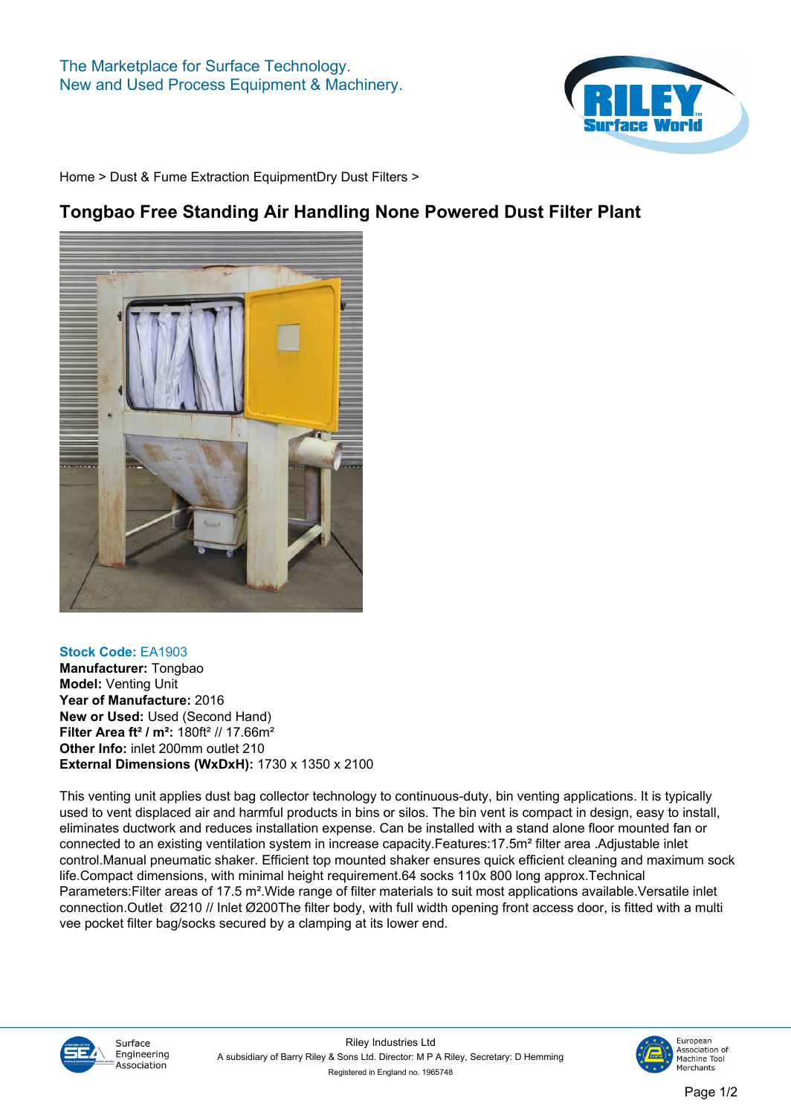

**[Home](https://www.rileysurfaceworld.co.uk) > [Dust & Fume Extraction Equipment](https://www.rileysurfaceworld.co.uk/dust-fume.asp)[Dry Dust Filters](https://www.rileysurfaceworld.co.uk/dust-dry.asp) >**

## **Tongbao Free Standing Air Handling None Powered Dust Filter Plant**



## **Stock Code: EA1903**

**Manufacturer: Tongbao Model: Venting Unit Year of Manufacture: 2016 New or Used: Used (Second Hand) Filter Area ft² / m²: 180ft² // 17.66m² Other Info: inlet 200mm outlet 210 External Dimensions (WxDxH): 1730 x 1350 x 2100**

**This venting unit applies dust bag collector technology to continuous-duty, bin venting applications. It is typically used to vent displaced air and harmful products in bins or silos. The bin vent is compact in design, easy to install, eliminates ductwork and reduces installation expense. Can be installed with a stand alone floor mounted fan or connected to an existing ventilation system in increase capacity.Features:17.5m² filter area .Adjustable inlet control.Manual pneumatic shaker. Efficient top mounted shaker ensures quick efficient cleaning and maximum sock life.Compact dimensions, with minimal height requirement.64 socks 110x 800 long approx.Technical Parameters:Filter areas of 17.5 m².Wide range of filter materials to suit most applications available.Versatile inlet connection.Outlet Ø210 // Inlet Ø200The filter body, with full width opening front access door, is fitted with a multi vee pocket filter bag/socks secured by a clamping at its lower end.**